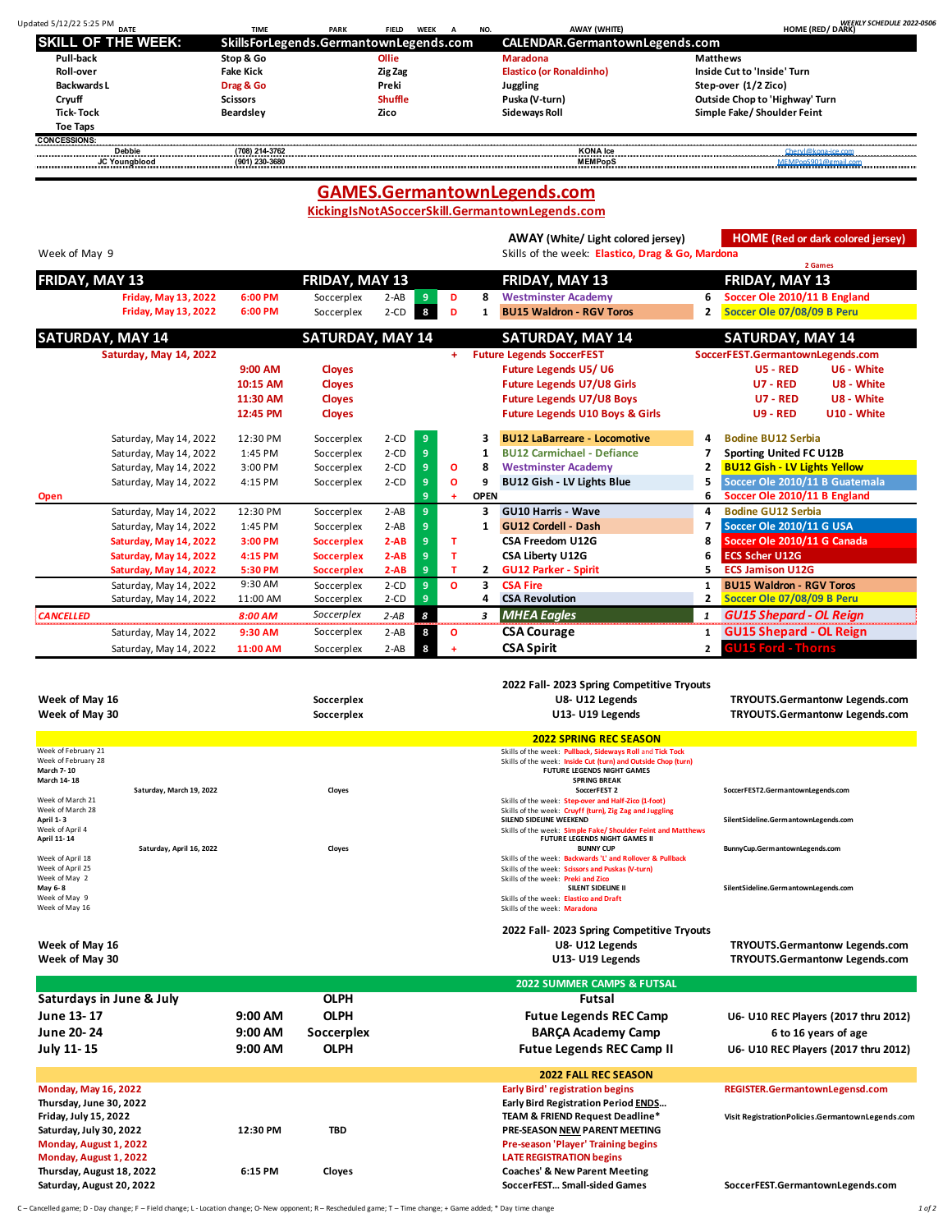| Updated 5/12/22 5:25 PM<br><b>DATE</b> | <b>TIME</b>                            | <b>PARK</b> | <b>FIELD</b>   | WEEK | NO. | <b>AWAY (WHITE)</b>             | <b>WEEKLY SCHEDULE 2022-0506</b><br><b>HOME (RED/ DARK)</b> |
|----------------------------------------|----------------------------------------|-------------|----------------|------|-----|---------------------------------|-------------------------------------------------------------|
| <b>ISKILL OF THE WEEK:</b>             | SkillsForLegends.GermantownLegends.com |             |                |      |     | CALENDAR.GermantownLegends.com  |                                                             |
| Pull-back                              | Stop & Go                              |             | Ollie          |      |     | Maradona                        | <b>Matthews</b>                                             |
| Roll-over                              | <b>Fake Kick</b>                       |             | Zig Zag        |      |     | <b>Elastico (or Ronaldinho)</b> | Inside Cut to 'Inside' Turn                                 |
| Backwards L                            | Drag & Go                              |             | Preki          |      |     | Juggling                        | Step-over (1/2 Zico)                                        |
| Cryuff                                 | <b>Scissors</b>                        |             | <b>Shuffle</b> |      |     | Puska (V-turn)                  | Outside Chop to 'Highway' Turn                              |
| <b>Tick-Tock</b>                       | Beardsley                              |             | Zico           |      |     | Sideways Roll                   | Simple Fake/Shoulder Feint                                  |
| <b>Toe Taps</b>                        |                                        |             |                |      |     |                                 |                                                             |
| <b>CONCESSIONS:</b>                    |                                        |             |                |      |     |                                 |                                                             |
| <b>Debbie</b>                          | (708) 214-3762                         |             |                |      |     | <b>KONA</b> Ice                 | Chervl@kona-ice.com                                         |
| <b>JC Youngblood</b>                   | (901) 230-3680                         |             |                |      |     | <b>MEMPopS</b>                  | MEMPonS901@gmail.com                                        |

## **KickingIsNotASoccerSkill.GermantownLegends.com GAMES.GermantownLegends.com**

**AWAY (White/ Light colored jersey) HOME (Red or dark colored jersey)**

| Week of May 9    |                             |          |                         |          |   |           |              | Skills of the week: Elastico, Drag & Go, Mardona |   | <b>THE LIGHT OF MAIN COMPLETERS</b> |
|------------------|-----------------------------|----------|-------------------------|----------|---|-----------|--------------|--------------------------------------------------|---|-------------------------------------|
|                  |                             |          |                         |          |   |           |              |                                                  |   | 2 Games                             |
| FRIDAY, MAY 13   |                             |          | FRIDAY, MAY 13          |          |   |           |              | FRIDAY, MAY 13                                   |   | FRIDAY, MAY 13                      |
|                  | <b>Friday, May 13, 2022</b> | 6:00 PM  | Soccerplex              | $2 - AB$ | 9 | D         | 8            | <b>Westminster Academy</b>                       | 6 | Soccer Ole 2010/11 B England        |
|                  | Friday, May 13, 2022        | 6:00 PM  | Soccerplex              | $2$ -CD  | 8 | D         |              | <b>BU15 Waldron - RGV Toros</b>                  | 2 | Soccer Ole 07/08/09 B Peru          |
|                  | SATURDAY, MAY 14            |          | <b>SATURDAY, MAY 14</b> |          |   |           |              | <b>SATURDAY, MAY 14</b>                          |   | <b>SATURDAY, MAY 14</b>             |
|                  | Saturday, May 14, 2022      |          |                         |          |   | $+$       |              | <b>Future Legends SoccerFEST</b>                 |   | SoccerFEST.GermantownLegends.com    |
|                  |                             | 9:00 AM  | <b>Cloyes</b>           |          |   |           |              | <b>Future Legends U5/U6</b>                      |   | $US - RED$<br>U6 - White            |
|                  |                             | 10:15 AM | <b>Cloyes</b>           |          |   |           |              | <b>Future Legends U7/U8 Girls</b>                |   | U8 - White<br><b>U7 - RED</b>       |
|                  |                             | 11:30 AM | <b>Cloyes</b>           |          |   |           |              | <b>Future Legends U7/U8 Boys</b>                 |   | U8 - White<br><b>U7 - RED</b>       |
|                  |                             | 12:45 PM | <b>Cloyes</b>           |          |   |           |              | <b>Future Legends U10 Boys &amp; Girls</b>       |   | U10 - White<br><b>U9 - RED</b>      |
|                  | Saturday, May 14, 2022      | 12:30 PM | Soccerplex              | $2$ -CD  | 9 |           |              | <b>BU12 LaBarreare - Locomotive</b>              | 4 | <b>Bodine BU12 Serbia</b>           |
|                  | Saturday, May 14, 2022      | 1:45 PM  | Soccerplex              | $2-CD$   | 9 |           |              | <b>BU12 Carmichael - Defiance</b>                |   | <b>Sporting United FC U12B</b>      |
|                  | Saturday, May 14, 2022      | 3:00 PM  | Soccerplex              | $2$ -CD  | 9 | O         | 8            | <b>Westminster Academy</b>                       | 2 | <b>BU12 Gish - LV Lights Yellow</b> |
|                  | Saturday, May 14, 2022      | 4:15 PM  | Soccerplex              | $2$ -CD  | 9 | О         | 9            | BU12 Gish - LV Lights Blue                       | 5 | Soccer Ole 2010/11 B Guatemala      |
| Open             |                             |          |                         |          | 9 | $\ddot{}$ | <b>OPEN</b>  |                                                  | 6 | Soccer Ole 2010/11 B England        |
|                  | Saturday, May 14, 2022      | 12:30 PM | Soccerplex              | $2 - AB$ | 9 |           | З.           | <b>GU10 Harris - Wave</b>                        | 4 | <b>Bodine GU12 Serbia</b>           |
|                  | Saturday, May 14, 2022      | 1:45 PM  | Soccerplex              | $2 - AB$ | 9 |           | 1.           | <b>GU12 Cordell - Dash</b>                       | 7 | Soccer Ole 2010/11 G USA            |
|                  | Saturday, May 14, 2022      | 3:00 PM  | <b>Soccerplex</b>       | $2-AB$   | 9 | т         |              | CSA Freedom U12G                                 | 8 | Soccer Ole 2010/11 G Canada         |
|                  | Saturday, May 14, 2022      | 4:15 PM  | <b>Soccerplex</b>       | $2-AB$   | 9 | т         |              | CSA Liberty U12G                                 | 6 | <b>ECS Scher U12G</b>               |
|                  | Saturday, May 14, 2022      | 5:30 PM  | <b>Soccerplex</b>       | $2-AB$   | 9 | т         | $\mathbf{2}$ | <b>GU12 Parker - Spirit</b>                      | 5 | <b>ECS Jamison U12G</b>             |
|                  | Saturday, May 14, 2022      | 9:30 AM  | Soccerplex              | $2$ -CD  | 9 | O         | 3.           | <b>CSA Fire</b>                                  | 1 | <b>BU15 Waldron - RGV Toros</b>     |
|                  | Saturday, May 14, 2022      | 11:00 AM | Soccerplex              | $2$ -CD  | 9 |           | 4            | <b>CSA Revolution</b>                            | 2 | Soccer Ole 07/08/09 B Peru          |
| <b>CANCELLED</b> |                             | 8:00 AM  | Soccerplex              | $2 - AB$ | 8 |           | 3            | <b>MHEA Eagles</b>                               | 1 | <b>GU15 Shepard - OL Reign</b>      |
|                  | Saturday, May 14, 2022      | 9:30 AM  | Soccerplex              | $2 - AB$ | 8 | O         |              | <b>CSA Courage</b>                               |   | <b>GU15 Shepard - OL Reign</b>      |
|                  | Saturday, May 14, 2022      | 11:00 AM | Soccerplex              | $2 - AB$ | 8 |           |              | <b>CSA Spirit</b>                                | 2 | <b>GU15 Ford - Thorns</b>           |

| Week of May 16<br>Week of May 30                                                                    |                          |           | Soccerplex<br>Soccerplex | 2022 Fall- 2023 Spring Competitive Tryouts<br>U8- U12 Legends<br>U13- U19 Legends                                                                                                                                                                   | TRYOUTS.Germantonw Legends.com<br>TRYOUTS.Germantonw Legends.com |
|-----------------------------------------------------------------------------------------------------|--------------------------|-----------|--------------------------|-----------------------------------------------------------------------------------------------------------------------------------------------------------------------------------------------------------------------------------------------------|------------------------------------------------------------------|
|                                                                                                     |                          |           |                          | <b>2022 SPRING REC SEASON</b>                                                                                                                                                                                                                       |                                                                  |
| Week of February 21<br>Week of February 28<br><b>March 7-10</b><br>March 14-18                      | Saturday, March 19, 2022 |           | Cloyes                   | Skills of the week: Pullback, Sideways Roll and Tick Tock<br>Skills of the week: Inside Cut (turn) and Outside Chop (turn)<br>FUTURE LEGENDS NIGHT GAMES<br><b>SPRING BREAK</b><br>SoccerFEST 2                                                     | SoccerFEST2.GermantownLegends.com                                |
| Week of March 21<br>Week of March 28                                                                |                          |           |                          | Skills of the week: Step-over and Half-Zico (1-foot)<br>Skills of the week: Cruyff (turn), Zig Zag and Juggling                                                                                                                                     |                                                                  |
| April 1-3<br>Week of April 4                                                                        |                          |           |                          | SILEND SIDELINE WEEKEND<br>Skills of the week: Simple Fake/ Shoulder Feint and Matthews                                                                                                                                                             | SilentSideline.GermantownLegends.com                             |
| April 11-14                                                                                         | Saturday, April 16, 2022 |           | Cloyes                   | FUTURE LEGENDS NIGHT GAMES II<br><b>BUNNY CUP</b>                                                                                                                                                                                                   | BunnyCup.GermantownLegends.com                                   |
| Week of April 18<br>Week of April 25<br>Week of May 2<br>May 6-8<br>Week of May 9<br>Week of May 16 |                          |           |                          | Skills of the week: Backwards 'L' and Rollover & Pullback<br>Skills of the week: Scissors and Puskas (V-turn)<br>Skills of the week: Preki and Zico<br>SILENT SIDELINE II<br>Skills of the week: Elastico and Draft<br>Skills of the week: Maradona | SilentSideline.GermantownLegends.com                             |
|                                                                                                     |                          |           |                          | 2022 Fall- 2023 Spring Competitive Tryouts                                                                                                                                                                                                          |                                                                  |
| Week of May 16                                                                                      |                          |           |                          | U8- U12 Legends                                                                                                                                                                                                                                     | TRYOUTS.Germantonw Legends.com                                   |
| Week of May 30                                                                                      |                          |           |                          | U13- U19 Legends                                                                                                                                                                                                                                    | TRYOUTS.Germantonw Legends.com                                   |
|                                                                                                     |                          |           |                          | <b>2022 SUMMER CAMPS &amp; FUTSAL</b>                                                                                                                                                                                                               |                                                                  |
| Saturdays in June & July                                                                            |                          |           | <b>OLPH</b>              | <b>Futsal</b>                                                                                                                                                                                                                                       |                                                                  |
| June 13-17                                                                                          |                          | $9:00$ AM | <b>OLPH</b>              | <b>Futue Legends REC Camp</b>                                                                                                                                                                                                                       | U6- U10 REC Players (2017 thru 2012)                             |
| June 20-24                                                                                          |                          | $9:00$ AM | Soccerplex               | <b>BARCA Academy Camp</b>                                                                                                                                                                                                                           | 6 to 16 years of age                                             |
| July 11-15                                                                                          |                          | $9:00$ AM | <b>OLPH</b>              | <b>Futue Legends REC Camp II</b>                                                                                                                                                                                                                    | U6- U10 REC Players (2017 thru 2012)                             |
|                                                                                                     |                          |           |                          | <b>2022 FALL REC SEASON</b>                                                                                                                                                                                                                         |                                                                  |
| <b>Monday, May 16, 2022</b>                                                                         |                          |           |                          | <b>Early Bird' registration begins</b>                                                                                                                                                                                                              | REGISTER.GermantownLegensd.com                                   |
| Thursday, June 30, 2022                                                                             |                          |           |                          | Early Bird Registration Period ENDS                                                                                                                                                                                                                 |                                                                  |
| Friday, July 15, 2022                                                                               |                          |           |                          | TEAM & FRIEND Request Deadline*                                                                                                                                                                                                                     | Visit RegistrationPolicies.GermantownLegends.com                 |
| Saturday, July 30, 2022                                                                             |                          | 12:30 PM  | <b>TBD</b>               | PRE-SEASON NEW PARENT MEETING                                                                                                                                                                                                                       |                                                                  |
| Monday, August 1, 2022                                                                              |                          |           |                          | Pre-season 'Player' Training begins                                                                                                                                                                                                                 |                                                                  |
| Monday, August 1, 2022                                                                              |                          |           |                          | <b>LATE REGISTRATION begins</b>                                                                                                                                                                                                                     |                                                                  |
| Thursday, August 18, 2022                                                                           |                          | 6:15 PM   | Cloyes                   | <b>Coaches' &amp; New Parent Meeting</b>                                                                                                                                                                                                            |                                                                  |
| Saturday, August 20, 2022                                                                           |                          |           |                          | SoccerFEST Small-sided Games                                                                                                                                                                                                                        | SoccerFEST.GermantownLegends.com                                 |